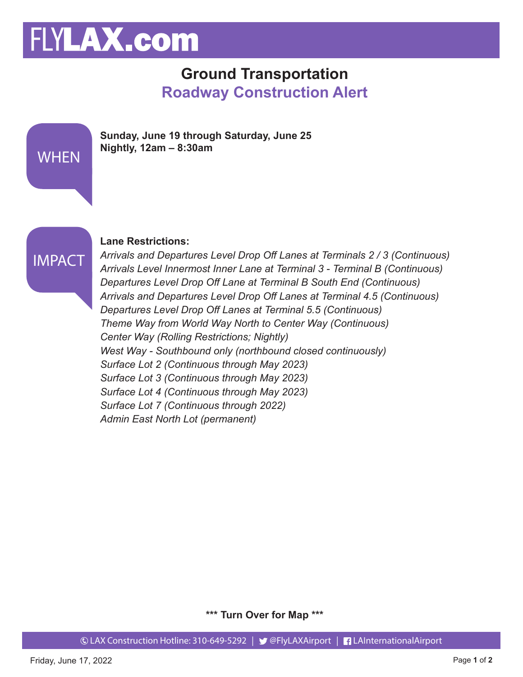# FLYLAX.com

### **Ground Transportation Roadway Construction Alert**

| <b>WHEN</b> | Sunday, June 19 through Saturday, June 25<br>Nightly, $12am - 8:30am$                                                                                            |
|-------------|------------------------------------------------------------------------------------------------------------------------------------------------------------------|
| TIMPACT     | <b>Lane Restrictions:</b><br>Arrivals and Departures Level Drop Off Lanes at Terminals 2/<br>And the Line of Line constant line of the constant And Technology D |

## IMPACT

*Arrivals and Departures Level Drop Off Lanes at Terminals 2 / 3 (Continuous) Arrivals Level Innermost Inner Lane at Terminal 3 - Terminal B (Continuous) Departures Level Drop Off Lane at Terminal B South End (Continuous) Arrivals and Departures Level Drop Off Lanes at Terminal 4.5 (Continuous) Departures Level Drop Off Lanes at Terminal 5.5 (Continuous) Theme Way from World Way North to Center Way (Continuous) Center Way (Rolling Restrictions; Nightly) West Way - Southbound only (northbound closed continuously) Surface Lot 2 (Continuous through May 2023) Surface Lot 3 (Continuous through May 2023) Surface Lot 4 (Continuous through May 2023) Surface Lot 7 (Continuous through 2022) Admin East North Lot (permanent)*

**\*\*\* Turn Over for Map \*\*\***